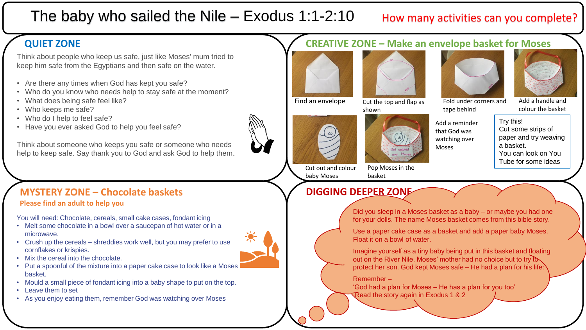# The baby who sailed the Nile – Exodus 1:1-2:10

## How many activities can you complete?

## **QUIET ZONE**

Think about people who keep us safe, just like Moses' mum tried to keep him safe from the Egyptians and then safe on the water.

- Are there any times when God has kept you safe?
- Who do you know who needs help to stay safe at the moment?
- What does being safe feel like?
- Who keeps me safe?
- Who do I help to feel safe?
- Have you ever asked God to help you feel safe?

Think about someone who keeps you safe or someone who needs help to keep safe. Say thank you to God and ask God to help them.

### **MYSTERY ZONE – Chocolate baskets DIGGING DEEPER ZONE Please find an adult to help you**

You will need: Chocolate, cereals, small cake cases, fondant icing

- Melt some chocolate in a bowl over a saucepan of hot water or in a microwave.
- Crush up the cereals shreddies work well, but you may prefer to use cornflakes or krispies.
- Mix the cereal into the chocolate.
- Put a spoonful of the mixture into a paper cake case to look like a Moses basket.
- Mould a small piece of fondant icing into a baby shape to put on the top.
- Leave them to set
- As you enjoy eating them, remember God was watching over Moses

## **CREATIVE ZONE – Make an envelope basket for Moses**



Find an envelope Cut the top and flap as shown

Pop Moses in the

basket





Fold under corners and tape behind

Add a handle and colour the basket

Add a reminder that God was watching over Moses

Try this! Cut some strips of paper and try weaving a basket. You can look on You Tube for some ideas

Cut out and colour baby Moses



Did you sleep in a Moses basket as a baby – or maybe you had one for your dolls. The name Moses basket comes from this bible story.

Use a paper cake case as a basket and add a paper baby Moses. Float it on a bowl of water.

Imagine yourself as a tiny baby being put in this basket and floating out on the River Nile. Moses' mother had no choice but to try to protect her son. God kept Moses safe – He had a plan for his life:

Remember –

'God had a plan for Moses – He has a plan for you too' Read the story again in Exodus 1 & 2